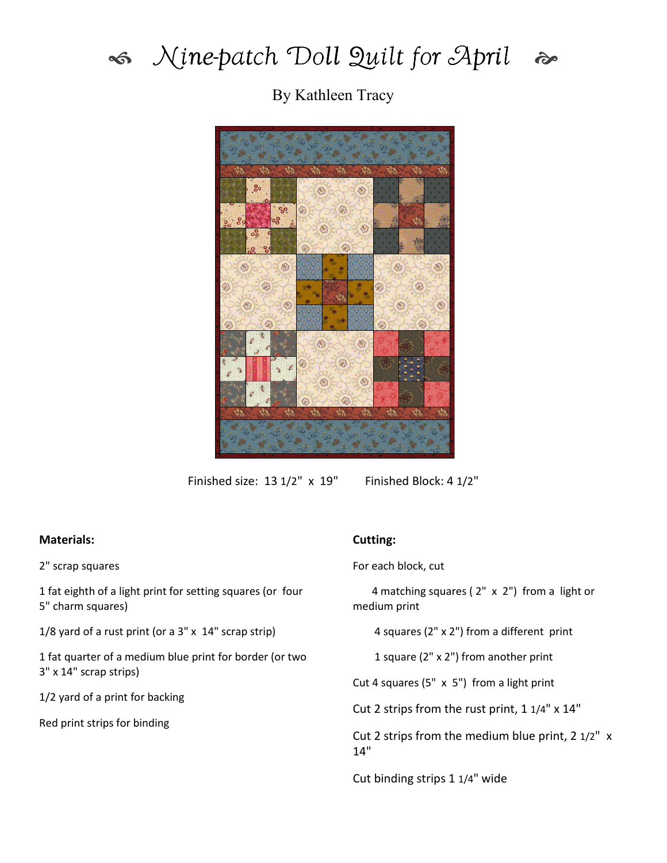

## Mine-patch Doll Quilt for April a

By Kathleen Tracy



Finished size: 13 1/2" x 19" Finished Block: 4 1/2"

## Materials:

2" scrap squares

1 fat eighth of a light print for setting squares (or four 5" charm squares)

1/8 yard of a rust print (or a 3" x 14" scrap strip)

1 fat quarter of a medium blue print for border (or two 3" x 14" scrap strips)

1/2 yard of a print for backing

Red print strips for binding

## Cutting:

For each block, cut

 4 matching squares ( 2" x 2") from a light or medium print

4 squares (2" x 2") from a different print

1 square (2" x 2") from another print

Cut 4 squares (5" x 5") from a light print

Cut 2 strips from the rust print, 1 1/4" x 14"

Cut 2 strips from the medium blue print, 2 1/2" x 14"

Cut binding strips 1 1/4" wide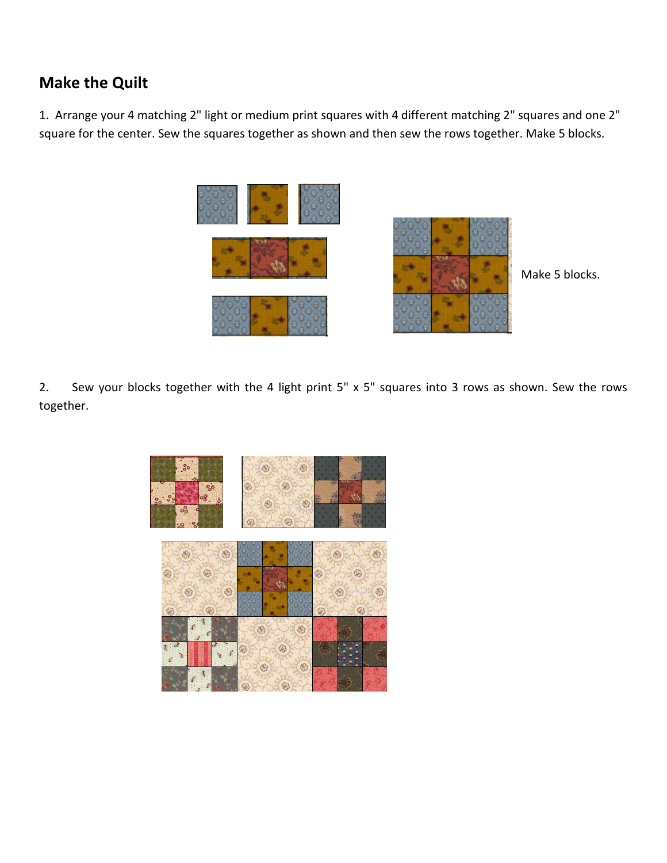## Make the Quilt

1. Arrange your 4 matching 2" light or medium print squares with 4 different matching 2" squares and one 2" square for the center. Sew the squares together as shown and then sew the rows together. Make 5 blocks.





Make 5 blocks.

2. Sew your blocks together with the 4 light print 5" x 5" squares into 3 rows as shown. Sew the rows together.